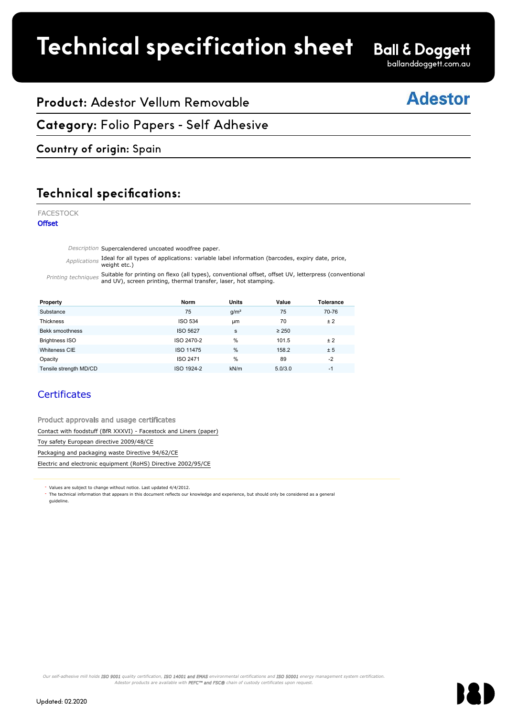# **Technical specification sheet**

# **Ball & Doggett**

ballanddoggett.com.au

## **Adestor**

## **Product:** Adestor Vellum Removable

**Category:** Folio Papers - Self Adhesive FACESTOCK

## **Country of origin:** Spain

### **Technical specifications:** Technical specifica

FACESTOCK

**Offset** 

Description Supercalendered uncoated woodfree paper.

Applications Ideal for all types of applications: variable label information (barcodes, expiry date, price, weight etc.)  $\text{etc.}$ )

Printing techniques Suitable for printing on flexo (all types), conventional offset, offset UV, letterpress (conventional<br>and UV), screen printing, thermal transfer, laser, hot stamping.  $\alpha$  screen printing thermal transfer laser hot stamping

| Property                                                          | <b>Norm</b>      | <b>Units</b>     | Value      | <b>Tolerance</b> |  |  |  |
|-------------------------------------------------------------------|------------------|------------------|------------|------------------|--|--|--|
| Substance                                                         | 75               | g/m <sup>2</sup> | 75         | 70-76            |  |  |  |
| <b>Thickness</b>                                                  | <b>ISO 534</b>   | <b>um</b>        | 70         | ±2               |  |  |  |
| Bekk smoothness                                                   | <b>ISO 5627</b>  | s                | $\geq 250$ |                  |  |  |  |
| <b>Brightness ISO</b>                                             | ISO 2470-2       | %                | 101.5      | ± 2              |  |  |  |
| Whiteness CIE                                                     | <b>ISO 11475</b> | %                | 158.2      | ± 5              |  |  |  |
| Opacity                                                           | ISO 2471         | %                | 89         | $-2$             |  |  |  |
| Tensile strength MD/CD                                            | ISO 1924-2       | kN/m             | 5.0/3.0    | $-1$             |  |  |  |
| <b>Certificates</b>                                               |                  |                  |            |                  |  |  |  |
| Product approvals and usage certificates                          |                  |                  |            |                  |  |  |  |
| Contact with foodstuff (BfR XXXVI) - Facestock and Liners (paper) |                  |                  |            |                  |  |  |  |
| Toy safety European directive 2009/48/CE                          |                  |                  |            |                  |  |  |  |
| Packaging and packaging waste Directive 94/62/CE                  |                  |                  |            |                  |  |  |  |
| Electric and electronic equipment (RoHS) Directive 2002/95/CE     |                  |                  |            |                  |  |  |  |
|                                                                   |                  |                  |            |                  |  |  |  |

## **Certificates**

Product approvals and usage certificates **Example 2012.** Contact with foodstuff (BfR XXXVI) - Facestock and Liners (paper) Toy safety European directive 2009/48/CE Packaging and packaging waste Directive 94/62/CE Electric and electronic equipment (RoHS) Directive 2002/95/CE

Values are subject to change without notice. Last updated 4/4/2012.

The technical information that appears in this document reflects our knowledge and experience, but should only be considered as a general guideline.

Our self-adhesive mill holds ISO 9001 quality certification, ISO 14001 and EMAS environmental certifications and ISO 50001 energy management system certification. Adestor products are available with PEFC™ and FSC® chain of custody certificates upon request.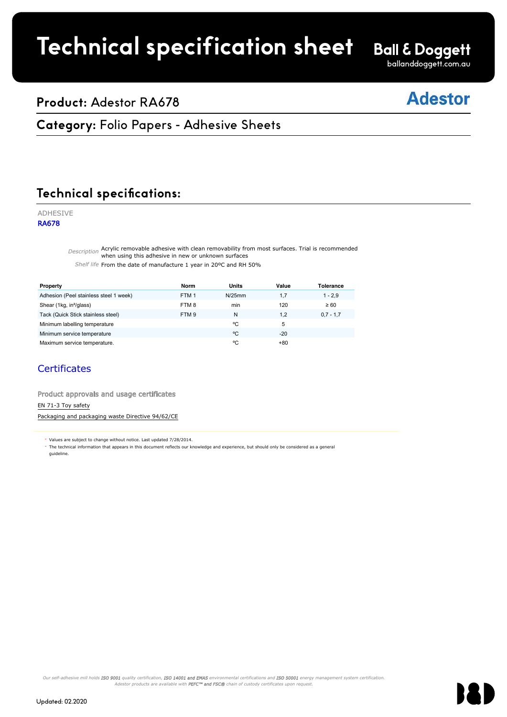# **Technical specification sheet**

**Ball & Doggett** 

#### ballanddoggett.com.au

## **Product:** Adestor RA678

## **Adestor**

## **Category: Folio Papers - Adhesive Sheets**

Faces of the contract of the contract of the contract of the contract of the contract of the contract of the c

### **Technical specifications:** Technical specification

### ADHESIVE

RA678

Description Acrylic removable adhesive with clean removability from most surfaces. Trial is recommended when using this adhesive in new or unknown surfaces when using the state of the state of the state of the state of the state of the state of the state of the state of the state of the state of the state of the state of the

Shelf life From the date of manufacture 1 year in 20°C and RH 50%

| Property                                                                                                                                                                                                                          | Norm             | <b>Units</b> | Value | Tolerance   |
|-----------------------------------------------------------------------------------------------------------------------------------------------------------------------------------------------------------------------------------|------------------|--------------|-------|-------------|
| Adhesion (Peel stainless steel 1 week)                                                                                                                                                                                            | FTM <sub>1</sub> | N/25mm       | 1,7   | $1 - 2,9$   |
| Shear (1kg, in <sup>2</sup> /glass)                                                                                                                                                                                               | FTM8             | min          | 120   | $\geq 60$   |
| Tack (Quick Stick stainless steel)                                                                                                                                                                                                | FTM <sub>9</sub> | N            | 1,2   | $0,7 - 1,7$ |
| Minimum labelling temperature                                                                                                                                                                                                     |                  | °C           | 5     |             |
| Minimum service temperature                                                                                                                                                                                                       |                  | °C           | $-20$ |             |
| Maximum service temperature.                                                                                                                                                                                                      |                  | °C           | $+80$ |             |
| Certificates<br>Product approvals and usage certificates                                                                                                                                                                          |                  |              |       |             |
| EN 71-3 Toy safety                                                                                                                                                                                                                |                  |              |       |             |
| Packaging and packaging waste Directive 94/62/CE                                                                                                                                                                                  |                  |              |       |             |
|                                                                                                                                                                                                                                   |                  |              |       |             |
| * Values are subject to change without notice. Last updated 7/28/2014.<br>The technical information that appears in this document reflects our knowledge and experience, but should only be considered as a general<br>quideline. |                  |              |       |             |

### **Certificates**

Our self-adhesive mill holds ISO 9001 quality certification, ISO 14001 and EMAS environmental certifications and ISO 50001 energy management system certification. Adestor products are available with **PEFC™ and FSC®** chain of custody certificates upon request.